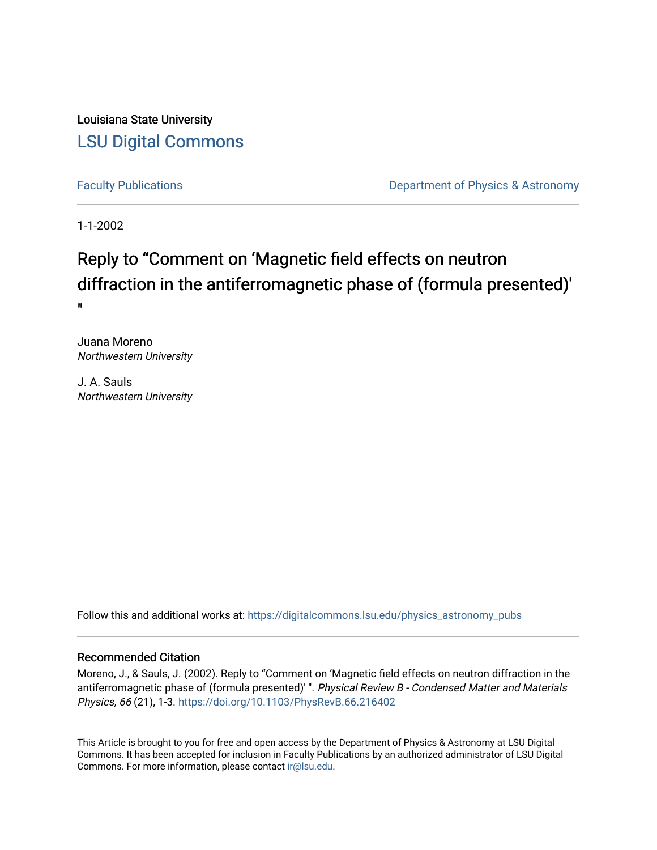Louisiana State University [LSU Digital Commons](https://digitalcommons.lsu.edu/)

[Faculty Publications](https://digitalcommons.lsu.edu/physics_astronomy_pubs) **Exercise 2 and Table 2 and Table 2 and Table 2 and Table 2 and Table 2 and Table 2 and Table 2 and Table 2 and Table 2 and Table 2 and Table 2 and Table 2 and Table 2 and Table 2 and Table 2 and Table** 

1-1-2002

## Reply to "Comment on 'Magnetic field effects on neutron diffraction in the antiferromagnetic phase of (formula presented)' "

Juana Moreno Northwestern University

J. A. Sauls Northwestern University

Follow this and additional works at: [https://digitalcommons.lsu.edu/physics\\_astronomy\\_pubs](https://digitalcommons.lsu.edu/physics_astronomy_pubs?utm_source=digitalcommons.lsu.edu%2Fphysics_astronomy_pubs%2F3636&utm_medium=PDF&utm_campaign=PDFCoverPages) 

## Recommended Citation

Moreno, J., & Sauls, J. (2002). Reply to "Comment on 'Magnetic field effects on neutron diffraction in the antiferromagnetic phase of (formula presented)' ". Physical Review B - Condensed Matter and Materials Physics, 66 (21), 1-3.<https://doi.org/10.1103/PhysRevB.66.216402>

This Article is brought to you for free and open access by the Department of Physics & Astronomy at LSU Digital Commons. It has been accepted for inclusion in Faculty Publications by an authorized administrator of LSU Digital Commons. For more information, please contact [ir@lsu.edu](mailto:ir@lsu.edu).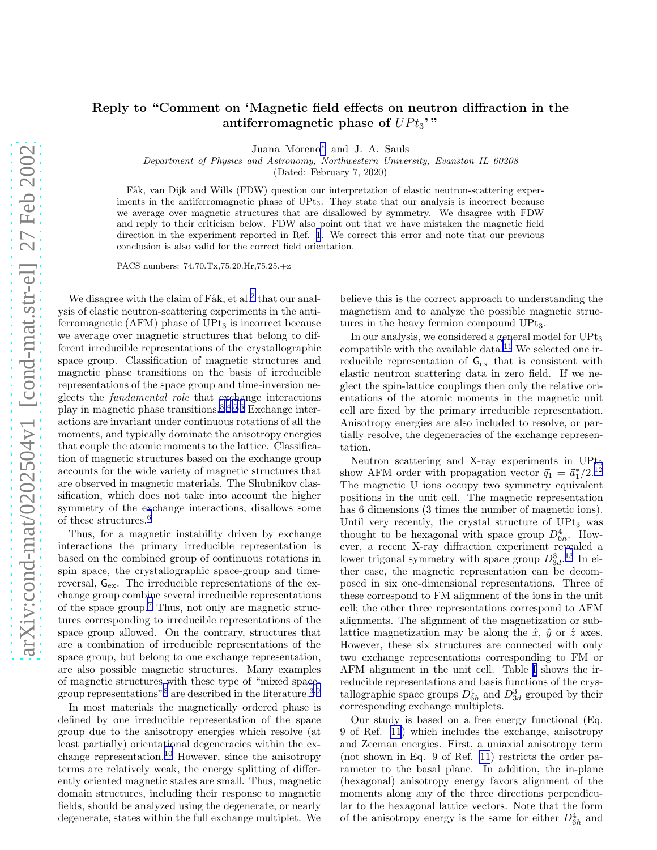## Reply to "Comment on 'Magnetic field effects on neutron diffraction in the antiferromagnetic phase of  $UPt_3$ "

Juana Moreno[∗](#page-2-0) and J. A. Sauls

Department of Physics and Astronomy, Northwestern University, Evanston IL 60208

(Dated: February 7, 2020)

Fåk, van Dijk and Wills (FDW) question our interpretation of elastic neutron-scattering experiments in the antiferromagnetic phase of UPt<sub>3</sub>. They state that our analysis is incorrect because we average over magnetic structures that are disallowed by symmetry. We disagree with FDW and reply to their criticism below. FDW also point out that we have mistaken the magnetic field direction in the experiment reported in Ref. [1](#page-2-0). We correct this error and note that our previous conclusion is also valid for the correct field orientation.

PACS numbers: 74.70.Tx,75.20.Hr,75.25.+z

We disagree with the claim of  $Fåk$ , et al.<sup>[2](#page-2-0)</sup> that our analysis of elastic neutron-scattering experiments in the antiferromagnetic ( $AFM$ ) phase of  $UPt_3$  is incorrect because we average over magnetic structures that belong to different irreducible representations of the crystallographic space group. Classification of magnetic structures and magnetic phase transitions on the basis of irreducible representations of the space group and time-inversion neglects the fundamental role that exchange interactions play in magnetic phase transitions.[3,4,5](#page-2-0),[6](#page-2-0) Exchange interactions are invariant under continuous rotations of all the moments, and typically dominate the anisotropy energies that couple the atomic moments to the lattice. Classification of magnetic structures based on the exchange group accounts for the wide variety of magnetic structures that are observed in magnetic materials. The Shubnikov classification, which does not take into account the higher symmetry of the exchange interactions, disallows some of these structures.<sup>[6](#page-2-0)</sup>

Thus, for a magnetic instability driven by exchange interactions the primary irreducible representation is based on the combined group of continuous rotations in spin space, the crystallographic space-group and timereversal, Gex. The irreducible representations of the exchange group combine several irreducible representations of the space group.[7](#page-2-0) Thus, not only are magnetic structures corresponding to irreducible representations of the space group allowed. On the contrary, structures that are a combination of irreducible representations of the space group, but belong to one exchange representation, are also possible magnetic structures. Many examples of magnetic structures with these type of "mixed spacegroup representations"[8](#page-2-0) are described in the literature.[3](#page-2-0),[9](#page-2-0)

In most materials the magnetically ordered phase is defined by one irreducible representation of the space group due to the anisotropy energies which resolve (at least partially) orientational degeneracies within the ex-change representation.<sup>[10](#page-3-0)</sup> However, since the anisotropy terms are relatively weak, the energy splitting of differently oriented magnetic states are small. Thus, magnetic domain structures, including their response to magnetic fields, should be analyzed using the degenerate, or nearly degenerate, states within the full exchange multiplet. We believe this is the correct approach to understanding the magnetism and to analyze the possible magnetic structures in the heavy fermion compound UPt<sub>3</sub>.

In our analysis, we considered a general model for UPt<sup>3</sup> compatible with the available data.<sup>[11](#page-3-0)</sup> We selected one irreducible representation of  $G_{\text{ex}}$  that is consistent with elastic neutron scattering data in zero field. If we neglect the spin-lattice couplings then only the relative orientations of the atomic moments in the magnetic unit cell are fixed by the primary irreducible representation. Anisotropy energies are also included to resolve, or partially resolve, the degeneracies of the exchange representation.

Neutron scattering and X-ray experiments in UPt<sub>3</sub> show AFM order with propagation vector  $\vec{q}_1 = \vec{a}_1^*/2$ .<sup>[12](#page-3-0)</sup> The magnetic U ions occupy two symmetry equivalent positions in the unit cell. The magnetic representation has 6 dimensions (3 times the number of magnetic ions). Until very recently, the crystal structure of  $UPt<sub>3</sub>$  was thought to be hexagonal with space group  $D_{6h}^4$ . However, a recent X-ray diffraction experiment revealed a lower trigonal symmetry with space group  $D_{3d}^3$ <sup>[13](#page-3-0)</sup> In either case, the magnetic representation can be decomposed in six one-dimensional representations. Three of these correspond to FM alignment of the ions in the unit cell; the other three representations correspond to AFM alignments. The alignment of the magnetization or sublattice magnetization may be along the  $\hat{x}$ ,  $\hat{y}$  or  $\hat{z}$  axes. However, these six structures are connected with only two exchange representations corresponding to FM or AFM alignment in the unit cell. Table [I](#page-2-0) shows the irreducible representations and basis functions of the crystallographic space groups  $D_{6h}^4$  and  $D_{3d}^3$  grouped by their corresponding exchange multiplets.

Our study is based on a free energy functional (Eq. 9 of Ref. [11](#page-3-0)) which includes the exchange, anisotropy and Zeeman energies. First, a uniaxial anisotropy term (not shown in Eq. 9 of Ref. [11](#page-3-0)) restricts the order parameter to the basal plane. In addition, the in-plane (hexagonal) anisotropy energy favors alignment of the moments along any of the three directions perpendicular to the hexagonal lattice vectors. Note that the form of the anisotropy energy is the same for either  $D_{6h}^4$  and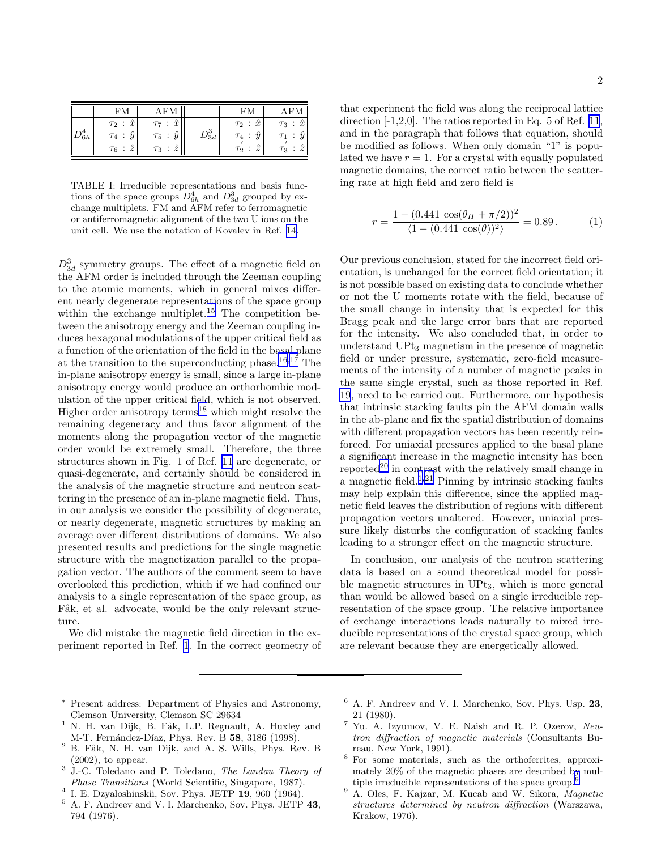<span id="page-2-0"></span>

|               |                                                                         | .FM                                                                                   |                      |                                                                   |                                                  |
|---------------|-------------------------------------------------------------------------|---------------------------------------------------------------------------------------|----------------------|-------------------------------------------------------------------|--------------------------------------------------|
| $\sigma_{6h}$ | $\tau_2$ : $\hat{x}$<br>$\hat{y}$<br>$\tau_4$ :<br>$\tau_6$ : $\hat{z}$ | $\therefore \hat{x}$<br>$\Gamma$ 7<br>$\hat{y}$<br>$\tau_5$ :<br>$\tau_3$ : $\hat{z}$ | $\mathcal{D}^3_{3d}$ | $\ddot{x}$<br>$\tau_2$ :<br>$\tau_4$ :<br>$\hat{z}$<br>$\tau_2$ : | $\hat{x}$<br>$\tau_3$<br>$\hat{z}$<br>$\tau_3$ : |

TABLE I: Irreducible representations and basis functions of the space groups  $D_{6h}^4$  and  $D_{3d}^3$  grouped by exchange multiplets. FM and AFM refer to ferromagnetic or antiferromagnetic alignment of the two U ions on the unit cell. We use the notation of Kovalev in Ref. [14](#page-3-0).

 $D_{3d}^3$  symmetry groups. The effect of a magnetic field on the AFM order is included through the Zeeman coupling to the atomic moments, which in general mixes different nearly degenerate representations of the space group within the exchange multiplet.<sup>[15](#page-3-0)</sup> The competition between the anisotropy energy and the Zeeman coupling induces hexagonal modulations of the upper critical field as a function of the orientation of the field in the basal plane at the transition to the superconducting phase.<sup>[16,17](#page-3-0)</sup> The in-plane anisotropy energy is small, since a large in-plane anisotropy energy would produce an orthorhombic modulation of the upper critical field, which is not observed. Higher order anisotropy terms<sup>[18](#page-3-0)</sup> which might resolve the remaining degeneracy and thus favor alignment of the moments along the propagation vector of the magnetic order would be extremely small. Therefore, the three structures shown in Fig. 1 of Ref. [11](#page-3-0) are degenerate, or quasi-degenerate, and certainly should be considered in the analysis of the magnetic structure and neutron scattering in the presence of an in-plane magnetic field. Thus, in our analysis we consider the possibility of degenerate, or nearly degenerate, magnetic structures by making an average over different distributions of domains. We also presented results and predictions for the single magnetic structure with the magnetization parallel to the propagation vector. The authors of the comment seem to have overlooked this prediction, which if we had confined our analysis to a single representation of the space group, as Fåk, et al. advocate, would be the only relevant structure.

We did mistake the magnetic field direction in the experiment reported in Ref. 1. In the correct geometry of

that experiment the field was along the reciprocal lattice direction  $[-1,2,0]$ . The ratios reported in Eq. 5 of Ref. [11](#page-3-0), and in the paragraph that follows that equation, should be modified as follows. When only domain "1" is populated we have  $r = 1$ . For a crystal with equally populated magnetic domains, the correct ratio between the scattering rate at high field and zero field is

$$
r = \frac{1 - (0.441 \cos(\theta_H + \pi/2))^2}{\langle 1 - (0.441 \cos(\theta))^2 \rangle} = 0.89. \tag{1}
$$

Our previous conclusion, stated for the incorrect field orientation, is unchanged for the correct field orientation; it is not possible based on existing data to conclude whether or not the U moments rotate with the field, because of the small change in intensity that is expected for this Bragg peak and the large error bars that are reported for the intensity. We also concluded that, in order to understand UPt<sup>3</sup> magnetism in the presence of magnetic field or under pressure, systematic, zero-field measurements of the intensity of a number of magnetic peaks in the same single crystal, such as those reported in Ref. [19](#page-3-0), need to be carried out. Furthermore, our hypothesis that intrinsic stacking faults pin the AFM domain walls in the ab-plane and fix the spatial distribution of domains with different propagation vectors has been recently reinforced. For uniaxial pressures applied to the basal plane a significant increase in the magnetic intensity has been reported<sup>[20](#page-3-0)</sup> in contrast with the relatively small change in a magnetic field.<sup>1,[21](#page-3-0)</sup> Pinning by intrinsic stacking faults may help explain this difference, since the applied magnetic field leaves the distribution of regions with different propagation vectors unaltered. However, uniaxial pressure likely disturbs the configuration of stacking faults leading to a stronger effect on the magnetic structure.

In conclusion, our analysis of the neutron scattering data is based on a sound theoretical model for possible magnetic structures in  $UPt_3$ , which is more general than would be allowed based on a single irreducible representation of the space group. The relative importance of exchange interactions leads naturally to mixed irreducible representations of the crystal space group, which are relevant because they are energetically allowed.

- <sup>∗</sup> Present address: Department of Physics and Astronomy, Clemson University, Clemson SC 29634
- $1$  N. H. van Dijk, B. Fåk, L.P. Regnault, A. Huxley and M-T. Fernández-Díaz, Phys. Rev. B 58, 3186 (1998).
- <sup>2</sup> B. Fåk, N. H. van Dijk, and A. S. Wills, Phys. Rev. B (2002), to appear.
- <sup>3</sup> J.-C. Toledano and P. Toledano, The Landau Theory of Phase Transitions (World Scientific, Singapore, 1987).
- $4$  I. E. Dzyaloshinskii, Sov. Phys. JETP  $19,960$  (1964).
- <sup>5</sup> A. F. Andreev and V. I. Marchenko, Sov. Phys. JETP 43, 794 (1976).
- <sup>6</sup> A. F. Andreev and V. I. Marchenko, Sov. Phys. Usp. 23, 21 (1980).
- Yu. A. Izyumov, V. E. Naish and R. P. Ozerov, Neutron diffraction of magnetic materials (Consultants Bureau, New York, 1991).
- <sup>8</sup> For some materials, such as the orthoferrites, approximately 20% of the magnetic phases are described by multiple irreducible representations of the space group.<sup>9</sup>
- <sup>9</sup> A. Oles, F. Kajzar, M. Kucab and W. Sikora, Magnetic structures determined by neutron diffraction (Warszawa, Krakow, 1976).